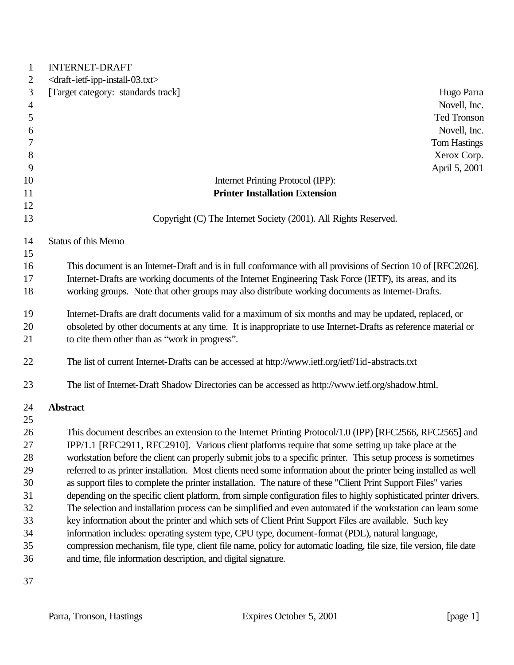| $\mathbf{1}$   | <b>INTERNET-DRAFT</b>                                                                                                                                                                                                   |
|----------------|-------------------------------------------------------------------------------------------------------------------------------------------------------------------------------------------------------------------------|
| 2              | <draft-ietf-ipp-install-03.txt></draft-ietf-ipp-install-03.txt>                                                                                                                                                         |
| 3              | [Target category: standards track]<br>Hugo Parra                                                                                                                                                                        |
| 4              | Novell, Inc.                                                                                                                                                                                                            |
| 5              | <b>Ted Tronson</b>                                                                                                                                                                                                      |
| 6              | Novell, Inc.                                                                                                                                                                                                            |
| $\overline{7}$ | <b>Tom Hastings</b>                                                                                                                                                                                                     |
| 8              | Xerox Corp.                                                                                                                                                                                                             |
| 9              | April 5, 2001                                                                                                                                                                                                           |
| 10             | Internet Printing Protocol (IPP):                                                                                                                                                                                       |
| 11             | <b>Printer Installation Extension</b>                                                                                                                                                                                   |
| 12             |                                                                                                                                                                                                                         |
| 13             | Copyright (C) The Internet Society (2001). All Rights Reserved.                                                                                                                                                         |
| 14             | Status of this Memo                                                                                                                                                                                                     |
| 15             |                                                                                                                                                                                                                         |
| 16             | This document is an Internet-Draft and is in full conformance with all provisions of Section 10 of [RFC2026].                                                                                                           |
| 17             | Internet-Drafts are working documents of the Internet Engineering Task Force (IETF), its areas, and its                                                                                                                 |
| 18             | working groups. Note that other groups may also distribute working documents as Internet-Drafts.                                                                                                                        |
| 19             | Internet-Drafts are draft documents valid for a maximum of six months and may be updated, replaced, or                                                                                                                  |
| 20             | obsoleted by other documents at any time. It is inappropriate to use Internet-Drafts as reference material or                                                                                                           |
| 21             | to cite them other than as "work in progress".                                                                                                                                                                          |
| 22             | The list of current Internet-Drafts can be accessed at http://www.ietf.org/ietf/1id-abstracts.txt                                                                                                                       |
| 23             | The list of Internet-Draft Shadow Directories can be accessed as http://www.ietf.org/shadow.html.                                                                                                                       |
| 24             | <b>Abstract</b>                                                                                                                                                                                                         |
| 25             |                                                                                                                                                                                                                         |
| 26             | This document describes an extension to the Internet Printing Protocol/1.0 (IPP) [RFC2566, RFC2565] and                                                                                                                 |
| 27             | IPP/1.1 [RFC2911, RFC2910]. Various client platforms require that some setting up take place at the                                                                                                                     |
| 28             | workstation before the client can properly submit jobs to a specific printer. This setup process is sometimes                                                                                                           |
| 29             | referred to as printer installation. Most clients need some information about the printer being installed as well                                                                                                       |
| 30             | as support files to complete the printer installation. The nature of these "Client Print Support Files" varies                                                                                                          |
| 31             | depending on the specific client platform, from simple configuration files to highly sophisticated printer drivers.                                                                                                     |
| 32<br>33       | The selection and installation process can be simplified and even automated if the workstation can learn some                                                                                                           |
| 34             | key information about the printer and which sets of Client Print Support Files are available. Such key                                                                                                                  |
| 35             | information includes: operating system type, CPU type, document-format (PDL), natural language,<br>compression mechanism, file type, client file name, policy for automatic loading, file size, file version, file date |
| 36             | and time, file information description, and digital signature.                                                                                                                                                          |
| 37             |                                                                                                                                                                                                                         |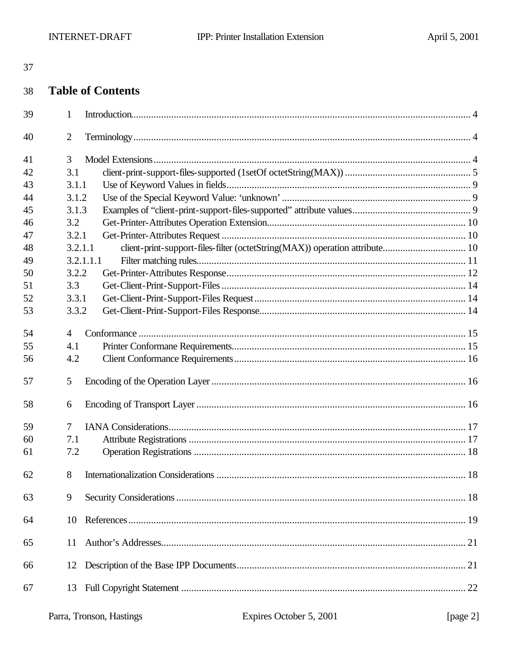| <br>۰,            | . . |
|-------------------|-----|
| I<br>۰.<br>×<br>٠ |     |

#### 38 **Table of Contents**

| 39 | $\mathbf{1}$   |  |
|----|----------------|--|
| 40 | $\overline{2}$ |  |
| 41 | 3              |  |
| 42 | 3.1            |  |
| 43 | 3.1.1          |  |
| 44 | 3.1.2          |  |
| 45 | 3.1.3          |  |
| 46 | 3.2            |  |
| 47 | 3.2.1          |  |
| 48 | 3.2.1.1        |  |
| 49 | 3.2.1.1.1      |  |
| 50 | 3.2.2          |  |
| 51 | 3.3            |  |
| 52 | 3.3.1          |  |
| 53 | 3.3.2          |  |
| 54 | $\overline{4}$ |  |
| 55 | 4.1            |  |
| 56 | 4.2            |  |
| 57 | 5              |  |
| 58 | 6              |  |
| 59 | 7              |  |
| 60 | 7.1            |  |
| 61 | 7.2            |  |
| 62 | 8              |  |
| 63 | 9              |  |
| 64 | 10             |  |
| 65 | 11             |  |
| 66 | 12             |  |
| 67 | 13             |  |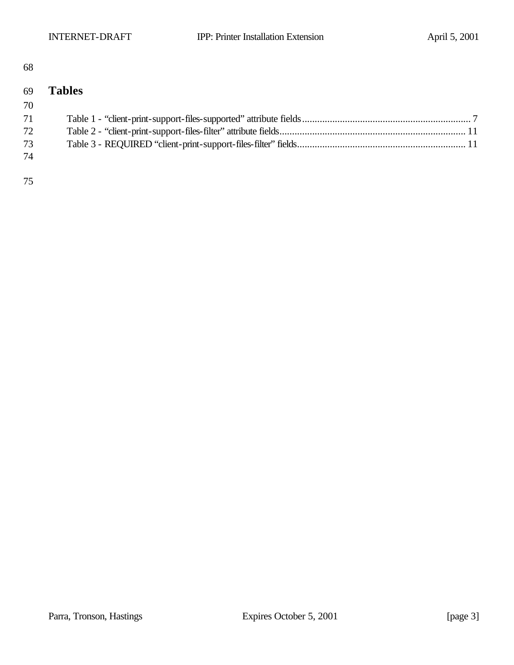#### 

## **Tables** Table 1 - "client-print-support-files-supported" attribute fields................................................................... 7 Table 2 - "client-print-support-files-filter" attribute fields.......................................................................... 11 Table 3 - REQUIRED "client-print-support-files-filter" fields................................................................... 11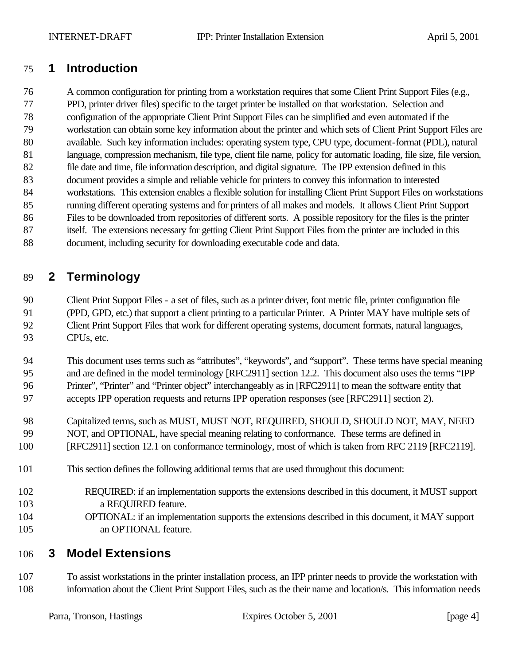## **1 Introduction**

 A common configuration for printing from a workstation requires that some Client Print Support Files (e.g., PPD, printer driver files) specific to the target printer be installed on that workstation. Selection and configuration of the appropriate Client Print Support Files can be simplified and even automated if the workstation can obtain some key information about the printer and which sets of Client Print Support Files are available. Such key information includes: operating system type, CPU type, document-format (PDL), natural language, compression mechanism, file type, client file name, policy for automatic loading, file size, file version, file date and time, file information description, and digital signature. The IPP extension defined in this document provides a simple and reliable vehicle for printers to convey this information to interested workstations. This extension enables a flexible solution for installing Client Print Support Files on workstations running different operating systems and for printers of all makes and models. It allows Client Print Support Files to be downloaded from repositories of different sorts. A possible repository for the files is the printer itself. The extensions necessary for getting Client Print Support Files from the printer are included in this document, including security for downloading executable code and data.

## **2 Terminology**

 Client Print Support Files - a set of files, such as a printer driver, font metric file, printer configuration file (PPD, GPD, etc.) that support a client printing to a particular Printer. A Printer MAY have multiple sets of Client Print Support Files that work for different operating systems, document formats, natural languages, CPUs, etc.

 This document uses terms such as "attributes", "keywords", and "support". These terms have special meaning 95 and are defined in the model terminology [RFC2911] section 12.2. This document also uses the terms "IPP Printer", "Printer" and "Printer object" interchangeably as in [RFC2911] to mean the software entity that

accepts IPP operation requests and returns IPP operation responses (see [RFC2911] section 2).

- Capitalized terms, such as MUST, MUST NOT, REQUIRED, SHOULD, SHOULD NOT, MAY, NEED NOT, and OPTIONAL, have special meaning relating to conformance. These terms are defined in
- [RFC2911] section 12.1 on conformance terminology, most of which is taken from RFC 2119 [RFC2119].
- This section defines the following additional terms that are used throughout this document:
- REQUIRED: if an implementation supports the extensions described in this document, it MUST support a REQUIRED feature.
- OPTIONAL: if an implementation supports the extensions described in this document, it MAY support an OPTIONAL feature.

## **3 Model Extensions**

 To assist workstations in the printer installation process, an IPP printer needs to provide the workstation with information about the Client Print Support Files, such as the their name and location/s. This information needs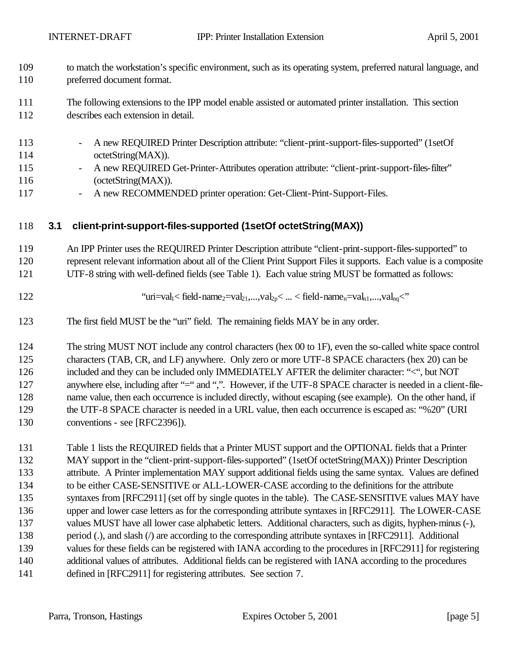- 109 to match the workstation's specific environment, such as its operating system, preferred natural language, and 110 preferred document format.
- 111 The following extensions to the IPP model enable assisted or automated printer installation. This section 112 describes each extension in detail.
- 113 A new REQUIRED Printer Description attribute: "client-print-support-files-supported" (1setOf 114 octetString(MAX)).
- 115 A new REQUIRED Get-Printer-Attributes operation attribute: "client-print-support-files-filter" 116 (octetString(MAX)).
- 117 A new RECOMMENDED printer operation: Get-Client-Print-Support-Files.

#### 118 **3.1 client-print-support-files-supported (1setOf octetString(MAX))**

119 An IPP Printer uses the REQUIRED Printer Description attribute "client-print-support-files-supported" to 120 represent relevant information about all of the Client Print Support Files it supports. Each value is a composite 121 UTF-8 string with well-defined fields (see Table 1). Each value string MUST be formatted as follows:

- 
- 122 "uri=val<sub>1</sub>< field-name<sub>2</sub>=val<sub>21</sub>,...,val<sub>2p</sub>< ... < field-name<sub>n</sub>=val<sub>n1</sub>,...,val<sub>nq</sub><"
- 123 The first field MUST be the "uri" field. The remaining fields MAY be in any order.

124 The string MUST NOT include any control characters (hex 00 to 1F), even the so-called white space control 125 characters (TAB, CR, and LF) anywhere. Only zero or more UTF-8 SPACE characters (hex 20) can be 126 included and they can be included only IMMEDIATELY AFTER the delimiter character: "<", but NOT 127 anywhere else, including after "=" and ",". However, if the UTF-8 SPACE character is needed in a client-file-128 name value, then each occurrence is included directly, without escaping (see example). On the other hand, if 129 the UTF-8 SPACE character is needed in a URL value, then each occurrence is escaped as: "%20" (URI 130 conventions - see [RFC2396]).

 Table 1 lists the REQUIRED fields that a Printer MUST support and the OPTIONAL fields that a Printer 132 MAY support in the "client-print-support-files-supported" (1setOf octetString(MAX)) Printer Description attribute. A Printer implementation MAY support additional fields using the same syntax. Values are defined to be either CASE-SENSITIVE or ALL-LOWER-CASE according to the definitions for the attribute 135 syntaxes from [RFC2911] (set off by single quotes in the table). The CASE-SENSITIVE values MAY have upper and lower case letters as for the corresponding attribute syntaxes in [RFC2911]. The LOWER-CASE values MUST have all lower case alphabetic letters. Additional characters, such as digits, hyphen-minus (-), 138 period (.), and slash (*/*) are according to the corresponding attribute syntaxes in [RFC2911]. Additional 139 values for these fields can be registered with IANA according to the procedures in [RFC2911] for registering additional values of attributes. Additional fields can be registered with IANA according to the procedures defined in [RFC2911] for registering attributes. See section 7.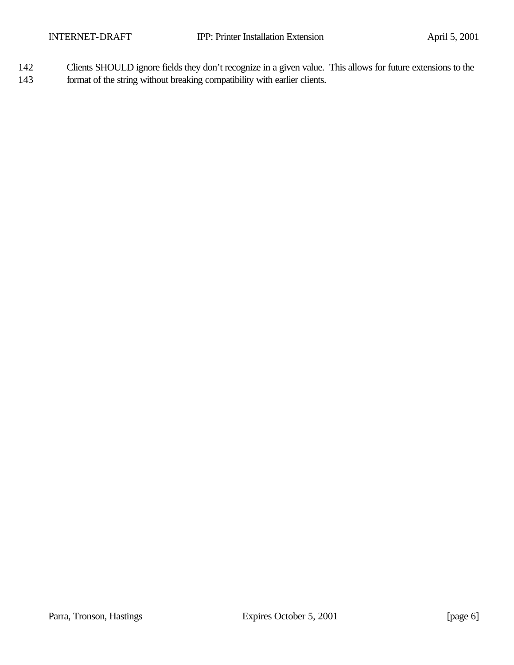142 Clients SHOULD ignore fields they don't recognize in a given value. This allows for future extensions to the 143 format of the string without breaking compatibility with earlier clients.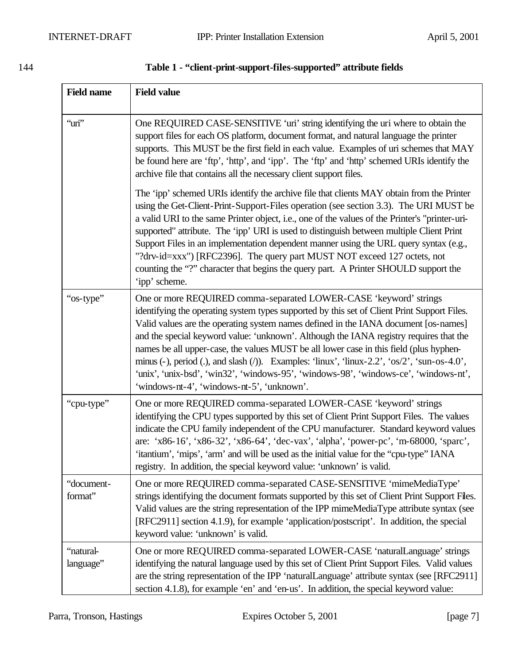| <b>Field name</b>      | <b>Field value</b>                                                                                                                                                                                                                                                                                                                                                                                                                                                                                                                                                                                                                                                                      |
|------------------------|-----------------------------------------------------------------------------------------------------------------------------------------------------------------------------------------------------------------------------------------------------------------------------------------------------------------------------------------------------------------------------------------------------------------------------------------------------------------------------------------------------------------------------------------------------------------------------------------------------------------------------------------------------------------------------------------|
| "uri"                  | One REQUIRED CASE-SENSITIVE 'uri' string identifying the uri where to obtain the<br>support files for each OS platform, document format, and natural language the printer<br>supports. This MUST be the first field in each value. Examples of uri schemes that MAY<br>be found here are 'ftp', 'http', and 'ipp'. The 'ftp' and 'http' schemed URIs identify the<br>archive file that contains all the necessary client support files.                                                                                                                                                                                                                                                 |
|                        | The 'ipp' schemed URIs identify the archive file that clients MAY obtain from the Printer<br>using the Get-Client-Print-Support-Files operation (see section 3.3). The URI MUST be<br>a valid URI to the same Printer object, i.e., one of the values of the Printer's "printer-uri-<br>supported" attribute. The 'ipp' URI is used to distinguish between multiple Client Print<br>Support Files in an implementation dependent manner using the URL query syntax (e.g.,<br>"?drv-id=xxx") [RFC2396]. The query part MUST NOT exceed 127 octets, not<br>counting the "?" character that begins the query part. A Printer SHOULD support the<br>'ipp' scheme.                           |
| "os-type"              | One or more REQUIRED comma-separated LOWER-CASE 'keyword' strings<br>identifying the operating system types supported by this set of Client Print Support Files.<br>Valid values are the operating system names defined in the IANA document [os-names]<br>and the special keyword value: 'unknown'. Although the IANA registry requires that the<br>names be all upper-case, the values MUST be all lower case in this field (plus hyphen-<br>minus (-), period (.), and slash (/)). Examples: 'linux', 'linux-2.2', ' $\cos/2$ ', 'sun-os-4.0',<br>'unix', 'unix-bsd', 'win32', 'windows-95', 'windows-98', 'windows-ce', 'windows-nt',<br>'windows-nt-4', 'windows-nt-5', 'unknown'. |
| "cpu-type"             | One or more REQUIRED comma-separated LOWER-CASE 'keyword' strings<br>identifying the CPU types supported by this set of Client Print Support Files. The values<br>indicate the CPU family independent of the CPU manufacturer. Standard keyword values<br>are: 'x86-16', 'x86-32', 'x86-64', 'dec-vax', 'alpha', 'power-pc', 'm-68000, 'sparc',<br>'itantium', 'mips', 'arm' and will be used as the initial value for the "cpu-type" IANA<br>registry. In addition, the special keyword value: 'unknown' is valid.                                                                                                                                                                     |
| "document-<br>format"  | One or more REQUIRED comma-separated CASE-SENSITIVE 'mimeMediaType'<br>strings identifying the document formats supported by this set of Client Print Support Files.<br>Valid values are the string representation of the IPP mimeMediaType attribute syntax (see<br>[RFC2911] section 4.1.9), for example 'application/postscript'. In addition, the special<br>keyword value: 'unknown' is valid.                                                                                                                                                                                                                                                                                     |
| "natural-<br>language" | One or more REQUIRED comma-separated LOWER-CASE 'naturalLanguage' strings<br>identifying the natural language used by this set of Client Print Support Files. Valid values<br>are the string representation of the IPP 'naturalLanguage' attribute syntax (see [RFC2911]<br>section 4.1.8), for example 'en' and 'en-us'. In addition, the special keyword value:                                                                                                                                                                                                                                                                                                                       |

### 144 **Table 1 - "client-print-support-files-supported" attribute fields**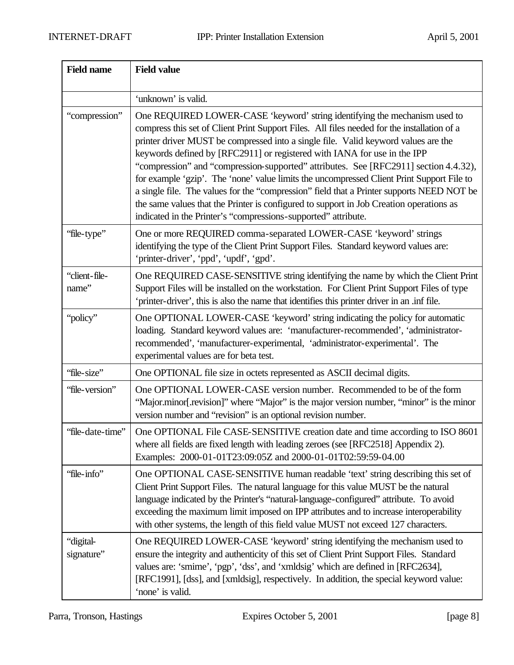| <b>Field name</b>       | <b>Field value</b>                                                                                                                                                                                                                                                                                                                                                                                                                                                                                                                                                                                                                                                                                                                                                                         |
|-------------------------|--------------------------------------------------------------------------------------------------------------------------------------------------------------------------------------------------------------------------------------------------------------------------------------------------------------------------------------------------------------------------------------------------------------------------------------------------------------------------------------------------------------------------------------------------------------------------------------------------------------------------------------------------------------------------------------------------------------------------------------------------------------------------------------------|
|                         | 'unknown' is valid.                                                                                                                                                                                                                                                                                                                                                                                                                                                                                                                                                                                                                                                                                                                                                                        |
| "compression"           | One REQUIRED LOWER-CASE 'keyword' string identifying the mechanism used to<br>compress this set of Client Print Support Files. All files needed for the installation of a<br>printer driver MUST be compressed into a single file. Valid keyword values are the<br>keywords defined by [RFC2911] or registered with IANA for use in the IPP<br>"compression" and "compression-supported" attributes. See [RFC2911] section 4.4.32),<br>for example 'gzip'. The 'none' value limits the uncompressed Client Print Support File to<br>a single file. The values for the "compression" field that a Printer supports NEED NOT be<br>the same values that the Printer is configured to support in Job Creation operations as<br>indicated in the Printer's "compressions-supported" attribute. |
| "file-type"             | One or more REQUIRED comma-separated LOWER-CASE 'keyword' strings<br>identifying the type of the Client Print Support Files. Standard keyword values are:<br>'printer-driver', 'ppd', 'updf', 'gpd'.                                                                                                                                                                                                                                                                                                                                                                                                                                                                                                                                                                                       |
| "client-file-<br>name"  | One REQUIRED CASE-SENSITIVE string identifying the name by which the Client Print<br>Support Files will be installed on the workstation. For Client Print Support Files of type<br>'printer-driver', this is also the name that identifies this printer driver in an .inf file.                                                                                                                                                                                                                                                                                                                                                                                                                                                                                                            |
| "policy"                | One OPTIONAL LOWER-CASE 'keyword' string indicating the policy for automatic<br>loading. Standard keyword values are: 'manufacturer-recommended', 'administrator-<br>recommended', 'manufacturer-experimental, 'administrator-experimental'. The<br>experimental values are for beta test.                                                                                                                                                                                                                                                                                                                                                                                                                                                                                                 |
| "file-size"             | One OPTIONAL file size in octets represented as ASCII decimal digits.                                                                                                                                                                                                                                                                                                                                                                                                                                                                                                                                                                                                                                                                                                                      |
| "file-version"          | One OPTIONAL LOWER-CASE version number. Recommended to be of the form<br>"Major.minor[.revision]" where "Major" is the major version number, "minor" is the minor<br>version number and "revision" is an optional revision number.                                                                                                                                                                                                                                                                                                                                                                                                                                                                                                                                                         |
| "file-date-time"        | One OPTIONAL File CASE-SENSITIVE creation date and time according to ISO 8601<br>where all fields are fixed length with leading zeroes (see [RFC2518] Appendix 2).<br>Examples: 2000-01-01T23:09:05Z and 2000-01-01T02:59:59-04.00                                                                                                                                                                                                                                                                                                                                                                                                                                                                                                                                                         |
| "file-info"             | One OPTIONAL CASE-SENSITIVE human readable 'text' string describing this set of<br>Client Print Support Files. The natural language for this value MUST be the natural<br>language indicated by the Printer's "natural-language-configured" attribute. To avoid<br>exceeding the maximum limit imposed on IPP attributes and to increase interoperability<br>with other systems, the length of this field value MUST not exceed 127 characters.                                                                                                                                                                                                                                                                                                                                            |
| "digital-<br>signature" | One REQUIRED LOWER-CASE 'keyword' string identifying the mechanism used to<br>ensure the integrity and authenticity of this set of Client Print Support Files. Standard<br>values are: 'smime', 'pgp', 'dss', and 'xmldsig' which are defined in [RFC2634],<br>[RFC1991], [dss], and [xmldsig], respectively. In addition, the special keyword value:<br>'none' is valid.                                                                                                                                                                                                                                                                                                                                                                                                                  |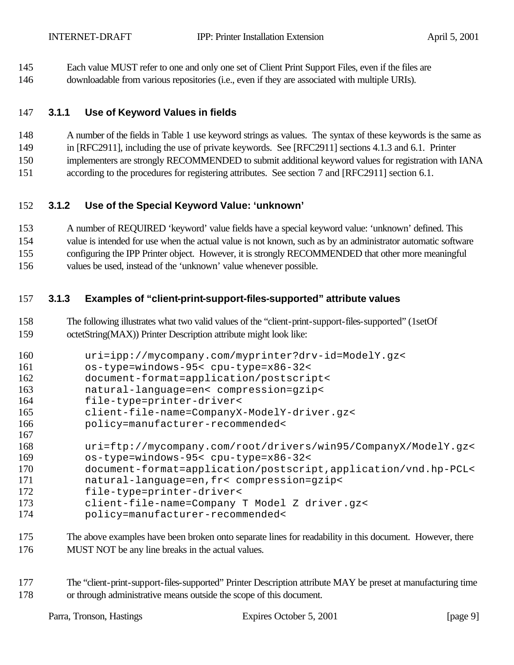Each value MUST refer to one and only one set of Client Print Support Files, even if the files are

## downloadable from various repositories (i.e., even if they are associated with multiple URIs).

## **3.1.1 Use of Keyword Values in fields**

A number of the fields in Table 1 use keyword strings as values. The syntax of these keywords is the same as

in [RFC2911], including the use of private keywords. See [RFC2911] sections 4.1.3 and 6.1. Printer

implementers are strongly RECOMMENDED to submit additional keyword values for registration with IANA

according to the procedures for registering attributes. See section 7 and [RFC2911] section 6.1.

## **3.1.2 Use of the Special Keyword Value: 'unknown'**

 A number of REQUIRED 'keyword' value fields have a special keyword value: 'unknown' defined. This value is intended for use when the actual value is not known, such as by an administrator automatic software configuring the IPP Printer object. However, it is strongly RECOMMENDED that other more meaningful values be used, instead of the 'unknown' value whenever possible.

## **3.1.3 Examples of "client-print-support-files-supported" attribute values**

 The following illustrates what two valid values of the "client-print-support-files-supported" (1setOf octetString(MAX)) Printer Description attribute might look like:

```
160 uri=ipp://mycompany.com/myprinter?drv-id=ModelY.gz< 
161 os-type=windows-95< cpu-type=x86-32<
```
document-format=application/postscript<

natural-language=en< compression=gzip<

file-type=printer-driver<

client-file-name=CompanyX-ModelY-driver.gz<

policy=manufacturer-recommended<

```
167
168 uri=ftp://mycompany.com/root/drivers/win95/CompanyX/ModelY.gz<
169 os-type=windows-95< cpu-type=x86-32<
```
- document-format=application/postscript,application/vnd.hp-PCL<
- natural-language=en,fr< compression=gzip<
- file-type=printer-driver<

client-file-name=Company T Model Z driver.gz<

- policy=manufacturer-recommended<
- The above examples have been broken onto separate lines for readability in this document. However, there MUST NOT be any line breaks in the actual values.

 The "client-print-support-files-supported" Printer Description attribute MAY be preset at manufacturing time or through administrative means outside the scope of this document.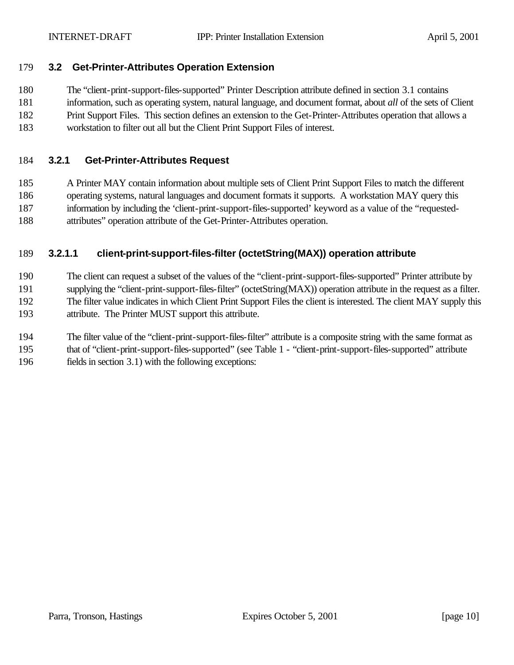#### **3.2 Get-Printer-Attributes Operation Extension**

The "client-print-support-files-supported" Printer Description attribute defined in section 3.1 contains

- information, such as operating system, natural language, and document format, about *all* of the sets of Client
- Print Support Files. This section defines an extension to the Get-Printer-Attributes operation that allows a
- workstation to filter out all but the Client Print Support Files of interest.

#### **3.2.1 Get-Printer-Attributes Request**

 A Printer MAY contain information about multiple sets of Client Print Support Files to match the different operating systems, natural languages and document formats it supports. A workstation MAY query this information by including the 'client-print-support-files-supported' keyword as a value of the "requested-attributes" operation attribute of the Get-Printer-Attributes operation.

#### **3.2.1.1 client-print-support-files-filter (octetString(MAX)) operation attribute**

 The client can request a subset of the values of the "client-print-support-files-supported" Printer attribute by supplying the "client-print-support-files-filter" (octetString(MAX)) operation attribute in the request as a filter. The filter value indicates in which Client Print Support Files the client is interested. The client MAY supply this attribute. The Printer MUST support this attribute.

 The filter value of the "client-print-support-files-filter" attribute is a composite string with the same format as that of "client-print-support-files-supported" (see Table 1 - "client-print-support-files-supported" attribute fields in section 3.1) with the following exceptions: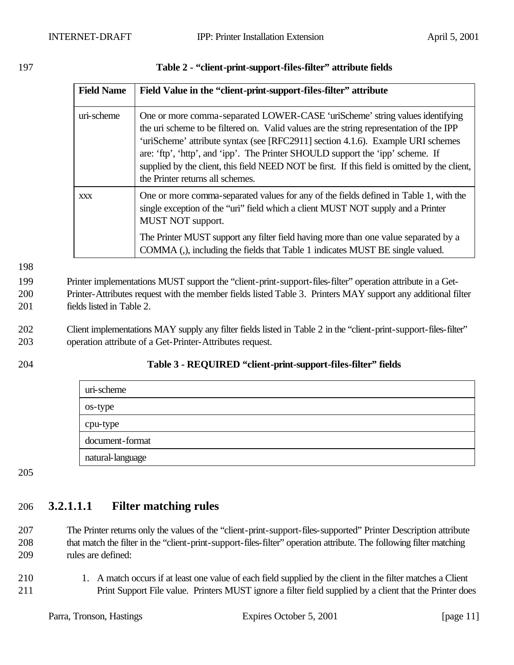| <b>Field Name</b> | Field Value in the "client-print-support-files-filter" attribute                                                                                                                                                                                                                                                                                                                                                                                                                  |
|-------------------|-----------------------------------------------------------------------------------------------------------------------------------------------------------------------------------------------------------------------------------------------------------------------------------------------------------------------------------------------------------------------------------------------------------------------------------------------------------------------------------|
| uri-scheme        | One or more comma-separated LOWER-CASE 'uriScheme' string values identifying<br>the uri scheme to be filtered on. Valid values are the string representation of the IPP<br>'uriScheme' attribute syntax (see [RFC2911] section 4.1.6). Example URI schemes<br>are: 'ftp', 'http', and 'ipp'. The Printer SHOULD support the 'ipp' scheme. If<br>supplied by the client, this field NEED NOT be first. If this field is omitted by the client,<br>the Printer returns all schemes. |
| <b>XXX</b>        | One or more comma-separated values for any of the fields defined in Table 1, with the<br>single exception of the "uri" field which a client MUST NOT supply and a Printer<br><b>MUST NOT support.</b>                                                                                                                                                                                                                                                                             |
|                   | The Printer MUST support any filter field having more than one value separated by a<br>COMMA (,), including the fields that Table 1 indicates MUST BE single valued.                                                                                                                                                                                                                                                                                                              |

197 **Table 2 - "client-print-support-files-filter" attribute fields**

198

199 Printer implementations MUST support the "client-print-support-files-filter" operation attribute in a Get-200 Printer-Attributes request with the member fields listed Table 3. Printers MAY support any additional filter 201 fields listed in Table 2.

202 Client implementations MAY supply any filter fields listed in Table 2 in the "client-print-support-files-filter" 203 operation attribute of a Get-Printer-Attributes request.

#### 204 **Table 3 - REQUIRED "client-print-support-files-filter" fields**

| uri-scheme       |  |
|------------------|--|
| os-type          |  |
| cpu-type         |  |
| document-format  |  |
| natural-language |  |

205

## 206 **3.2.1.1.1 Filter matching rules**

207 The Printer returns only the values of the "client-print-support-files-supported" Printer Description attribute 208 that match the filter in the "client-print-support-files-filter" operation attribute. The following filter matching 209 rules are defined:

210 1. A match occurs if at least one value of each field supplied by the client in the filter matches a Client 211 Print Support File value. Printers MUST ignore a filter field supplied by a client that the Printer does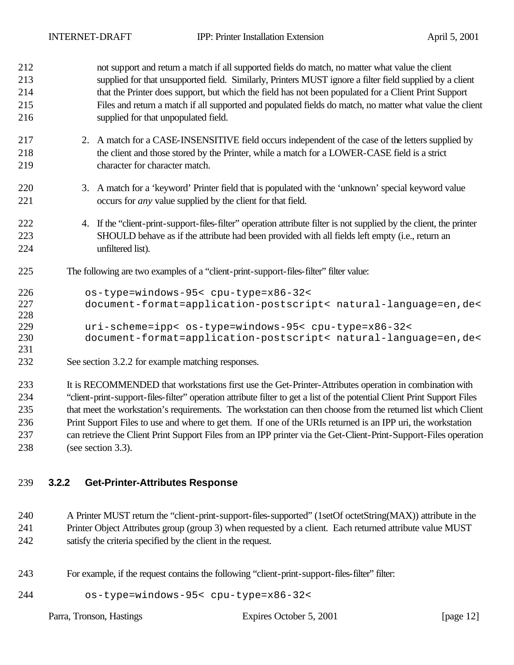| 212<br>213    | not support and return a match if all supported fields do match, no matter what value the client<br>supplied for that unsupported field. Similarly, Printers MUST ignore a filter field supplied by a client |  |
|---------------|--------------------------------------------------------------------------------------------------------------------------------------------------------------------------------------------------------------|--|
| 214           | that the Printer does support, but which the field has not been populated for a Client Print Support                                                                                                         |  |
| 215           | Files and return a match if all supported and populated fields do match, no matter what value the client                                                                                                     |  |
| 216           | supplied for that unpopulated field.                                                                                                                                                                         |  |
| 217           | 2. A match for a CASE-INSENSITIVE field occurs independent of the case of the letters supplied by                                                                                                            |  |
| 218           | the client and those stored by the Printer, while a match for a LOWER-CASE field is a strict                                                                                                                 |  |
| 219           | character for character match.                                                                                                                                                                               |  |
| 220           | 3. A match for a 'keyword' Printer field that is populated with the 'unknown' special keyword value                                                                                                          |  |
| 221           | occurs for <i>any</i> value supplied by the client for that field.                                                                                                                                           |  |
| 222           | 4. If the "client-print-support-files-filter" operation attribute filter is not supplied by the client, the printer                                                                                          |  |
| 223           | SHOULD behave as if the attribute had been provided with all fields left empty (i.e., return an                                                                                                              |  |
| 224           | unfiltered list).                                                                                                                                                                                            |  |
| 225           | The following are two examples of a "client-print-support-files-filter" filter value:                                                                                                                        |  |
| 226           | os-type=windows-95< cpu-type=x86-32<                                                                                                                                                                         |  |
| 227           | document-format=application-postscript< natural-language=en, de<                                                                                                                                             |  |
| 228           |                                                                                                                                                                                                              |  |
| 229           | uri-scheme=ipp< os-type=windows-95< cpu-type=x86-32<                                                                                                                                                         |  |
| 230           | document-format=application-postscript< natural-language=en, de<                                                                                                                                             |  |
| 231           |                                                                                                                                                                                                              |  |
| 232           | See section 3.2.2 for example matching responses.                                                                                                                                                            |  |
| 233           | It is RECOMMENDED that workstations first use the Get-Printer-Attributes operation in combination with                                                                                                       |  |
| 234           | "client-print-support-files-filter" operation attribute filter to get a list of the potential Client Print Support Files                                                                                     |  |
| 235           | that meet the workstation's requirements. The workstation can then choose from the returned list which Client                                                                                                |  |
| $\sim$ $\sim$ | $\mathbf{r}$ and $\mathbf{r}$ and $\mathbf{r}$ and $\mathbf{r}$ and $\mathbf{r}$                                                                                                                             |  |

 Print Support Files to use and where to get them. If one of the URIs returned is an IPP uri, the workstation can retrieve the Client Print Support Files from an IPP printer via the Get-Client-Print-Support-Files operation (see section 3.3).

#### **3.2.2 Get-Printer-Attributes Response**

 A Printer MUST return the "client-print-support-files-supported" (1setOf octetString(MAX)) attribute in the Printer Object Attributes group (group 3) when requested by a client. Each returned attribute value MUST satisfy the criteria specified by the client in the request.

For example, if the request contains the following "client-print-support-files-filter" filter:

os-type=windows-95< cpu-type=x86-32<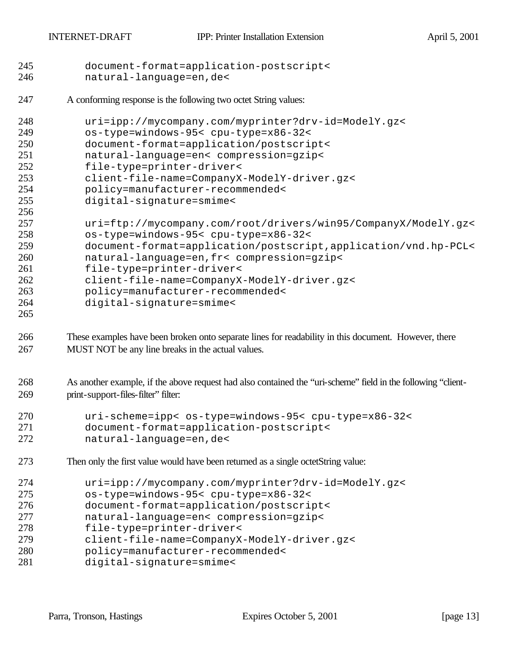```
245 document-format=application-postscript< 
246 natural-language=en,de<
```
A conforming response is the following two octet String values:

| 248<br>249 | uri=ipp://mycompany.com/myprinter?drv-id=ModelY.qz<<br>os-type=windows-95< cpu-type=x86-32< |
|------------|---------------------------------------------------------------------------------------------|
| 250        | document-format=application/postscript<                                                     |
| 251        | natural-language=en< compression=gzip<                                                      |
| 252        | file-type=printer-driver<                                                                   |
| 253        | client-file-name=CompanyX-ModelY-driver.gz<                                                 |
| 254        | policy=manufacturer-recommended<                                                            |
| 255        | digital-signature=smime<                                                                    |
| 256        |                                                                                             |
| 257        | uri=ftp://mycompany.com/root/drivers/win95/CompanyX/ModelY.gz<                              |
| 258        | os-type=windows-95< cpu-type=x86-32<                                                        |
| 259        | document-format=application/postscript,application/vnd.hp-PCL<                              |
| 260        | natural-language=en, fr< compression=gzip<                                                  |
| 261        | file-type=printer-driver<                                                                   |
| 262        | client-file-name=CompanyX-ModelY-driver.gz<                                                 |
| 263        | policy=manufacturer-recommended<                                                            |
| 264        | digital-signature=smime<                                                                    |

 These examples have been broken onto separate lines for readability in this document. However, there MUST NOT be any line breaks in the actual values.

 As another example, if the above request had also contained the "uri-scheme" field in the following "client-print-support-files-filter" filter:

| 270 | uri-scheme=ipp< os-type=windows-95< cpu-type=x86-32< |
|-----|------------------------------------------------------|
| 271 | document-format=application-postscript<              |
| 272 | natural-language=en,de<                              |

Then only the first value would have been returned as a single octetString value:

| 274 | uri=ipp://mycompany.com/myprinter?drv-id=ModelY.gz< |
|-----|-----------------------------------------------------|
| 275 | os-type=windows-95< cpu-type=x86-32<                |
| 276 | document-format=application/postscript<             |
| 277 | natural-language=en< compression=gzip<              |
| 278 | file-type=printer-driver<                           |
| 279 | client-file-name=CompanyX-ModelY-driver.gz<         |
| 280 | policy=manufacturer-recommended<                    |
| 281 | digital-signature=smime<                            |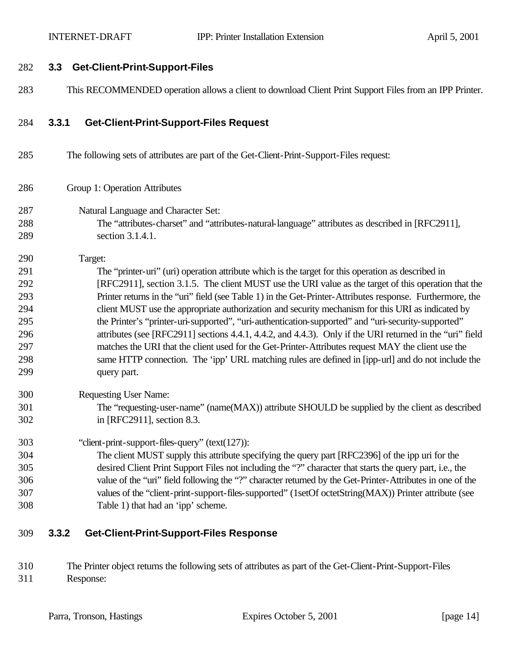#### **3.3 Get-Client-Print-Support-Files**

This RECOMMENDED operation allows a client to download Client Print Support Files from an IPP Printer.

#### **3.3.1 Get-Client-Print-Support-Files Request**

- The following sets of attributes are part of the Get-Client-Print-Support-Files request:
- Group 1: Operation Attributes
- Natural Language and Character Set: The "attributes-charset" and "attributes-natural-language" attributes as described in [RFC2911], section 3.1.4.1.

Target:

 The "printer-uri" (uri) operation attribute which is the target for this operation as described in [RFC2911], section 3.1.5. The client MUST use the URI value as the target of this operation that the Printer returns in the "uri" field (see Table 1) in the Get-Printer-Attributes response. Furthermore, the client MUST use the appropriate authorization and security mechanism for this URI as indicated by the Printer's "printer-uri-supported", "uri-authentication-supported" and "uri-security-supported" attributes (see [RFC2911] sections 4.4.1, 4.4.2, and 4.4.3). Only if the URI returned in the "uri" field matches the URI that the client used for the Get-Printer-Attributes request MAY the client use the same HTTP connection. The 'ipp' URL matching rules are defined in [ipp-url] and do not include the query part.

Requesting User Name:

 The "requesting-user-name" (name(MAX)) attribute SHOULD be supplied by the client as described in [RFC2911], section 8.3.

"client-print-support-files-query" (text(127)):

 The client MUST supply this attribute specifying the query part [RFC2396] of the ipp uri for the desired Client Print Support Files not including the "?" character that starts the query part, i.e., the value of the "uri" field following the "?" character returned by the Get-Printer-Attributes in one of the values of the "client-print-support-files-supported" (1setOf octetString(MAX)) Printer attribute (see Table 1) that had an 'ipp' scheme.

#### **3.3.2 Get-Client-Print-Support-Files Response**

 The Printer object returns the following sets of attributes as part of the Get-Client-Print-Support-Files Response: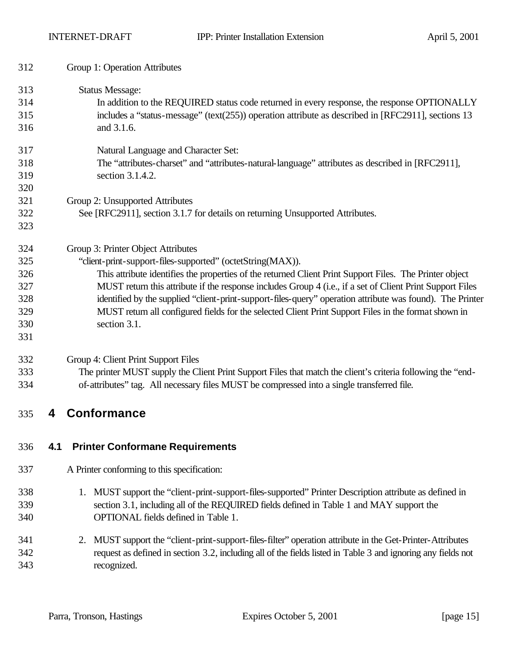| 312 | Group 1: Operation Attributes                                                                                |  |
|-----|--------------------------------------------------------------------------------------------------------------|--|
| 313 | <b>Status Message:</b>                                                                                       |  |
| 314 | In addition to the REQUIRED status code returned in every response, the response OPTIONALLY                  |  |
| 315 | includes a "status-message" (text(255)) operation attribute as described in [RFC2911], sections 13           |  |
| 316 | and 3.1.6.                                                                                                   |  |
| 317 | Natural Language and Character Set:                                                                          |  |
| 318 | The "attributes-charset" and "attributes-natural-language" attributes as described in [RFC2911],             |  |
| 319 | section 3.1.4.2.                                                                                             |  |
| 320 |                                                                                                              |  |
| 321 | Group 2: Unsupported Attributes                                                                              |  |
| 322 | See [RFC2911], section 3.1.7 for details on returning Unsupported Attributes.                                |  |
| 323 |                                                                                                              |  |
| 324 | Group 3: Printer Object Attributes                                                                           |  |
| 325 | "client-print-support-files-supported" (octetString(MAX)).                                                   |  |
| 326 | This attribute identifies the properties of the returned Client Print Support Files. The Printer object      |  |
| 327 | MUST return this attribute if the response includes Group 4 (i.e., if a set of Client Print Support Files    |  |
| 328 | identified by the supplied "client-print-support-files-query" operation attribute was found). The Printer    |  |
| 329 | MUST return all configured fields for the selected Client Print Support Files in the format shown in         |  |
| 330 | section 3.1.                                                                                                 |  |
| 331 |                                                                                                              |  |
| 332 | Group 4: Client Print Support Files                                                                          |  |
| 333 | The printer MUST supply the Client Print Support Files that match the client's criteria following the "end-  |  |
| 334 | of-attributes" tag. All necessary files MUST be compressed into a single transferred file.                   |  |
| 335 | <b>Conformance</b><br>4                                                                                      |  |
| 336 | <b>Printer Conformane Requirements</b><br>4.1                                                                |  |
| 337 | A Printer conforming to this specification:                                                                  |  |
| 338 | 1. MUST support the "client-print-support-files-supported" Printer Description attribute as defined in       |  |
| 339 | section 3.1, including all of the REQUIRED fields defined in Table 1 and MAY support the                     |  |
| 340 | OPTIONAL fields defined in Table 1.                                                                          |  |
| 341 | 2. MUST support the "client-print-support-files-filter" operation attribute in the Get-Printer-Attributes    |  |
| 342 | request as defined in section 3.2, including all of the fields listed in Table 3 and ignoring any fields not |  |
| 343 | recognized.                                                                                                  |  |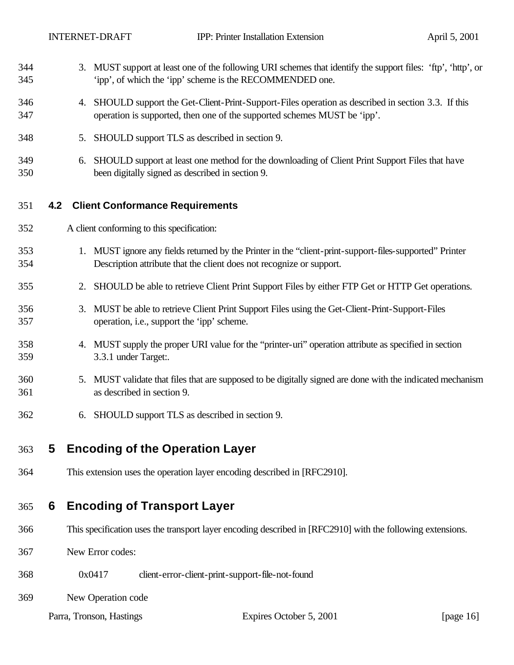| 344<br>345 |     |    | 3. MUST support at least one of the following URI schemes that identify the support files: 'ftp', 'http', or<br>'ipp', of which the 'ipp' scheme is the RECOMMENDED one.        |
|------------|-----|----|---------------------------------------------------------------------------------------------------------------------------------------------------------------------------------|
| 346<br>347 |     | 4. | SHOULD support the Get-Client-Print-Support-Files operation as described in section 3.3. If this<br>operation is supported, then one of the supported schemes MUST be 'ipp'.    |
| 348        |     | 5. | SHOULD support TLS as described in section 9.                                                                                                                                   |
| 349<br>350 |     | 6. | SHOULD support at least one method for the downloading of Client Print Support Files that have<br>been digitally signed as described in section 9.                              |
| 351        | 4.2 |    | <b>Client Conformance Requirements</b>                                                                                                                                          |
| 352        |     |    | A client conforming to this specification:                                                                                                                                      |
| 353<br>354 |     |    | 1. MUST ignore any fields returned by the Printer in the "client-print-support-files-supported" Printer<br>Description attribute that the client does not recognize or support. |
| 355        |     | 2. | SHOULD be able to retrieve Client Print Support Files by either FTP Get or HTTP Get operations.                                                                                 |
| 356<br>357 |     | 3. | MUST be able to retrieve Client Print Support Files using the Get-Client-Print-Support-Files<br>operation, i.e., support the 'ipp' scheme.                                      |
| 358<br>359 |     |    | 4. MUST supply the proper URI value for the "printer-uri" operation attribute as specified in section<br>3.3.1 under Target:.                                                   |
| 360<br>361 |     | 5. | MUST validate that files that are supposed to be digitally signed are done with the indicated mechanism<br>as described in section 9.                                           |
| 362        |     | 6. | SHOULD support TLS as described in section 9.                                                                                                                                   |
| 363        | 5   |    | <b>Encoding of the Operation Layer</b>                                                                                                                                          |
| 364        |     |    | This extension uses the operation layer encoding described in [RFC2910].                                                                                                        |
| 365        | 6   |    | <b>Encoding of Transport Layer</b>                                                                                                                                              |
| 366        |     |    | This specification uses the transport layer encoding described in [RFC2910] with the following extensions.                                                                      |
| 367        |     |    | New Error codes:                                                                                                                                                                |

- 0x0417 client-error-client-print-support-file-not-found
- New Operation code

Parra, Tronson, Hastings Expires October 5, 2001 [page 16]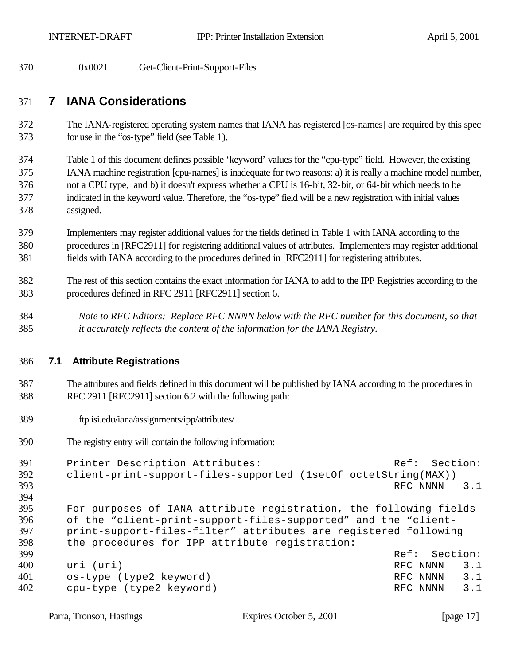0x0021 Get-Client-Print-Support-Files

## **7 IANA Considerations**

 The IANA-registered operating system names that IANA has registered [os-names] are required by this spec for use in the "os-type" field (see Table 1).

 Table 1 of this document defines possible 'keyword' values for the "cpu-type" field. However, the existing IANA machine registration [cpu-names] is inadequate for two reasons: a) it is really a machine model number, not a CPU type, and b) it doesn't express whether a CPU is 16-bit, 32-bit, or 64-bit which needs to be indicated in the keyword value. Therefore, the "os-type" field will be a new registration with initial values assigned.

 Implementers may register additional values for the fields defined in Table 1 with IANA according to the procedures in [RFC2911] for registering additional values of attributes. Implementers may register additional fields with IANA according to the procedures defined in [RFC2911] for registering attributes.

- The rest of this section contains the exact information for IANA to add to the IPP Registries according to the procedures defined in RFC 2911 [RFC2911] section 6.
- *Note to RFC Editors: Replace RFC NNNN below with the RFC number for this document, so that it accurately reflects the content of the information for the IANA Registry.*

#### **7.1 Attribute Registrations**

- The attributes and fields defined in this document will be published by IANA according to the procedures in RFC 2911 [RFC2911] section 6.2 with the following path:
- ftp.isi.edu/iana/assignments/ipp/attributes/
- The registry entry will contain the following information:

```
391 Printer Description Attributes: Ref: Section:
392 client-print-support-files-supported (1setOf octetString(MAX))
393 RFC NNNN 3.1394
395 For purposes of IANA attribute registration, the following fields 
396 of the "client-print-support-files-supported" and the "client-<br>397 print-support-files-filter" attributes are registered followin
     print-support-files-filter" attributes are registered following
398 the procedures for IPP attribute registration:
399 Ref: Section:
400 uri (uri) RFC NNNN 3.1
401 os-type (type2 keyword) RFC NNNN 3.1
402 cpu-type (type2 keyword) RFC NNNN 3.1
```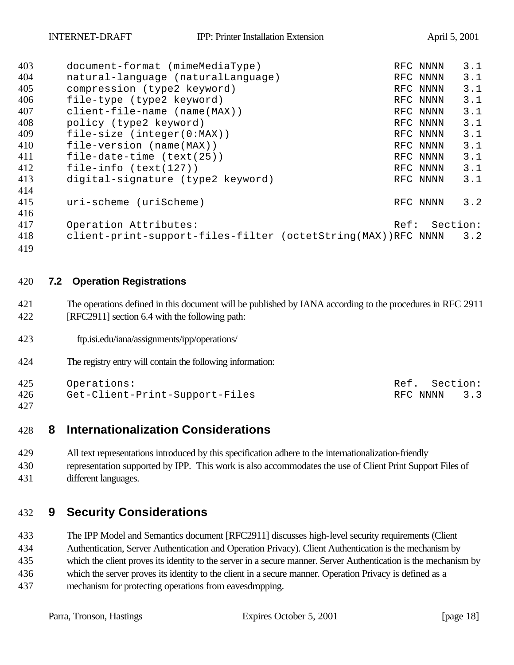| 403 | document-format (mimeMediaType)                              |      | RFC NNNN | 3.1 |
|-----|--------------------------------------------------------------|------|----------|-----|
| 404 | natural-language (naturalLanguage)                           |      | RFC NNNN | 3.1 |
| 405 | compression (type2 keyword)                                  |      | RFC NNNN | 3.1 |
| 406 | file-type (type2 keyword)                                    |      | RFC NNNN | 3.1 |
| 407 | $client-file-name (name(MAX))$                               |      | RFC NNNN | 3.1 |
| 408 | policy (type2 keyword)                                       |      | RFC NNNN | 3.1 |
| 409 | file-size $(inter(0:MAX))$                                   |      | RFC NNNN | 3.1 |
| 410 | file-version (name(MAX))                                     |      | RFC NNNN | 3.1 |
| 411 | file-date-time $(text(25))$                                  |      | RFC NNNN | 3.1 |
| 412 | file-info $(text(127))$                                      |      | RFC NNNN | 3.1 |
| 413 | digital-signature (type2 keyword)                            |      | RFC NNNN | 3.1 |
| 414 |                                                              |      |          |     |
| 415 | uri-scheme (uriScheme)                                       |      | RFC NNNN | 3.2 |
| 416 |                                                              |      |          |     |
| 417 | Operation Attributes:                                        | Ref: | Section: |     |
| 418 | client-print-support-files-filter (octetString(MAX))RFC NNNN |      |          | 3.2 |
| 419 |                                                              |      |          |     |

#### 420 **7.2 Operation Registrations**

- 421 The operations defined in this document will be published by IANA according to the procedures in RFC 2911 422 [RFC2911] section 6.4 with the following path:
- 423 ftp.isi.edu/iana/assignments/ipp/operations/
- 424 The registry entry will contain the following information:

425 Operations: Ref. Section:

426 Get-Client-Print-Support-Files RFC NNNN 3.3 427

# 428 **8 Internationalization Considerations**

- 429 All text representations introduced by this specification adhere to the internationalization-friendly
- 430 representation supported by IPP. This work is also accommodates the use of Client Print Support Files of 431 different languages.

## 432 **9 Security Considerations**

 The IPP Model and Semantics document [RFC2911] discusses high-level security requirements (Client Authentication, Server Authentication and Operation Privacy). Client Authentication is the mechanism by which the client proves its identity to the server in a secure manner. Server Authentication is the mechanism by which the server proves its identity to the client in a secure manner. Operation Privacy is defined as a mechanism for protecting operations from eavesdropping.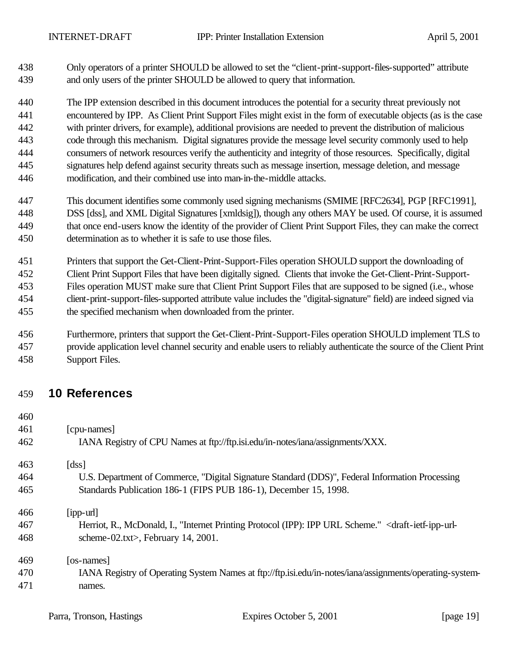Only operators of a printer SHOULD be allowed to set the "client-print-support-files-supported" attribute and only users of the printer SHOULD be allowed to query that information.

 The IPP extension described in this document introduces the potential for a security threat previously not encountered by IPP. As Client Print Support Files might exist in the form of executable objects (as is the case with printer drivers, for example), additional provisions are needed to prevent the distribution of malicious code through this mechanism. Digital signatures provide the message level security commonly used to help consumers of network resources verify the authenticity and integrity of those resources. Specifically, digital signatures help defend against security threats such as message insertion, message deletion, and message modification, and their combined use into man-in-the-middle attacks.

- This document identifies some commonly used signing mechanisms (SMIME [RFC2634], PGP [RFC1991], DSS [dss], and XML Digital Signatures [xmldsig]), though any others MAY be used. Of course, it is assumed that once end-users know the identity of the provider of Client Print Support Files, they can make the correct determination as to whether it is safe to use those files.
- Printers that support the Get-Client-Print-Support-Files operation SHOULD support the downloading of Client Print Support Files that have been digitally signed. Clients that invoke the Get-Client-Print-Support- Files operation MUST make sure that Client Print Support Files that are supposed to be signed (i.e., whose client-print-support-files-supported attribute value includes the "digital-signature" field) are indeed signed via the specified mechanism when downloaded from the printer.
- Furthermore, printers that support the Get-Client-Print-Support-Files operation SHOULD implement TLS to provide application level channel security and enable users to reliably authenticate the source of the Client Print Support Files.

## **10 References**

| 40U |                                                                                                                                    |
|-----|------------------------------------------------------------------------------------------------------------------------------------|
| 461 | [cpu-names]                                                                                                                        |
| 462 | IANA Registry of CPU Names at ftp://ftp.isi.edu/in-notes/iana/assignments/XXX.                                                     |
| 463 | [dss]                                                                                                                              |
| 464 | U.S. Department of Commerce, "Digital Signature Standard (DDS)", Federal Information Processing                                    |
| 465 | Standards Publication 186-1 (FIPS PUB 186-1), December 15, 1998.                                                                   |
| 466 | $[$ ipp-url $]$                                                                                                                    |
| 467 | Herriot, R., McDonald, I., "Internet Printing Protocol (IPP): IPP URL Scheme." <draft-ietf-ipp-url-< td=""></draft-ietf-ipp-url-<> |
| 468 | scheme-02.txt>, February 14, 2001.                                                                                                 |
| 469 | [os-names]                                                                                                                         |
| 470 | IANA Registry of Operating System Names at ftp://ftp.isi.edu/in-notes/iana/assignments/operating-system-                           |
| 471 | names.                                                                                                                             |
|     |                                                                                                                                    |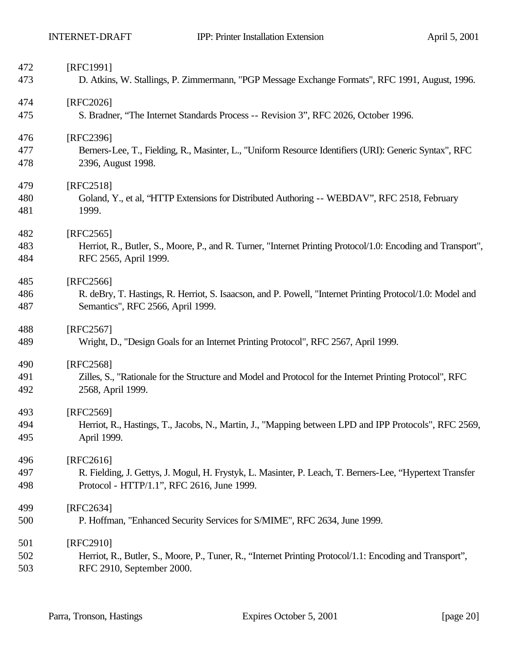| 472 | [RFC1991]                                                                                                    |
|-----|--------------------------------------------------------------------------------------------------------------|
| 473 | D. Atkins, W. Stallings, P. Zimmermann, "PGP Message Exchange Formats", RFC 1991, August, 1996.              |
| 474 | [RFC2026]                                                                                                    |
| 475 | S. Bradner, "The Internet Standards Process -- Revision 3", RFC 2026, October 1996.                          |
| 476 | [RFC2396]                                                                                                    |
| 477 | Berners-Lee, T., Fielding, R., Masinter, L., "Uniform Resource Identifiers (URI): Generic Syntax", RFC       |
| 478 | 2396, August 1998.                                                                                           |
| 479 | [RFC2518]                                                                                                    |
| 480 | Goland, Y., et al, "HTTP Extensions for Distributed Authoring -- WEBDAV", RFC 2518, February                 |
| 481 | 1999.                                                                                                        |
| 482 | [RFC2565]                                                                                                    |
| 483 | Herriot, R., Butler, S., Moore, P., and R. Turner, "Internet Printing Protocol/1.0: Encoding and Transport", |
| 484 | RFC 2565, April 1999.                                                                                        |
| 485 | [RFC2566]                                                                                                    |
| 486 | R. deBry, T. Hastings, R. Herriot, S. Isaacson, and P. Powell, "Internet Printing Protocol/1.0: Model and    |
| 487 | Semantics", RFC 2566, April 1999.                                                                            |
| 488 | [RFC2567]                                                                                                    |
| 489 | Wright, D., "Design Goals for an Internet Printing Protocol", RFC 2567, April 1999.                          |
| 490 | [RFC2568]                                                                                                    |
| 491 | Zilles, S., "Rationale for the Structure and Model and Protocol for the Internet Printing Protocol", RFC     |
| 492 | 2568, April 1999.                                                                                            |
| 493 | [RFC2569]                                                                                                    |
| 494 | Herriot, R., Hastings, T., Jacobs, N., Martin, J., "Mapping between LPD and IPP Protocols", RFC 2569,        |
| 495 | April 1999.                                                                                                  |
| 496 | [RFC2616]                                                                                                    |
| 497 | R. Fielding, J. Gettys, J. Mogul, H. Frystyk, L. Masinter, P. Leach, T. Berners-Lee, "Hypertext Transfer     |
| 498 | Protocol - HTTP/1.1", RFC 2616, June 1999.                                                                   |
| 499 | [RFC2634]                                                                                                    |
| 500 | P. Hoffman, "Enhanced Security Services for S/MIME", RFC 2634, June 1999.                                    |
| 501 | [RFC2910]                                                                                                    |
| 502 | Herriot, R., Butler, S., Moore, P., Tuner, R., "Internet Printing Protocol/1.1: Encoding and Transport",     |
| 503 | RFC 2910, September 2000.                                                                                    |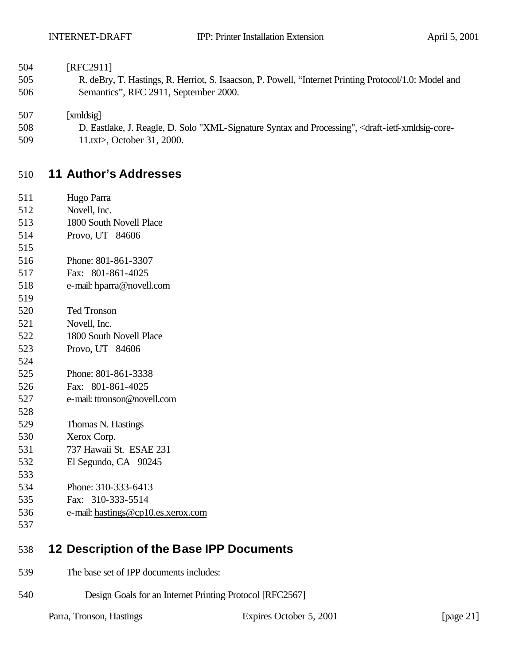| [RFC2911] |
|-----------|
|           |

 R. deBry, T. Hastings, R. Herriot, S. Isaacson, P. Powell, "Internet Printing Protocol/1.0: Model and Semantics", RFC 2911, September 2000.

[xmldsig]

- D. Eastlake, J. Reagle, D. Solo "XML-Signature Syntax and Processing", <draft-ietf-xmldsig-core-
- 509 11.txt>, October 31, 2000.

## **11 Author's Addresses**

- Hugo Parra Novell, Inc. 1800 South Novell Place Provo, UT 84606 Phone: 801-861-3307 Fax: 801-861-4025 e-mail: hparra@novell.com Ted Tronson Novell, Inc. 1800 South Novell Place Provo, UT 84606 Phone: 801-861-3338 Fax: 801-861-4025 e-mail: ttronson@novell.com Thomas N. Hastings Xerox Corp. 737 Hawaii St. ESAE 231 El Segundo, CA 90245 Phone: 310-333-6413 Fax: 310-333-5514 e-mail: hastings@cp10.es.xerox.com
- **12 Description of the Base IPP Documents**
- The base set of IPP documents includes:
- Design Goals for an Internet Printing Protocol [RFC2567]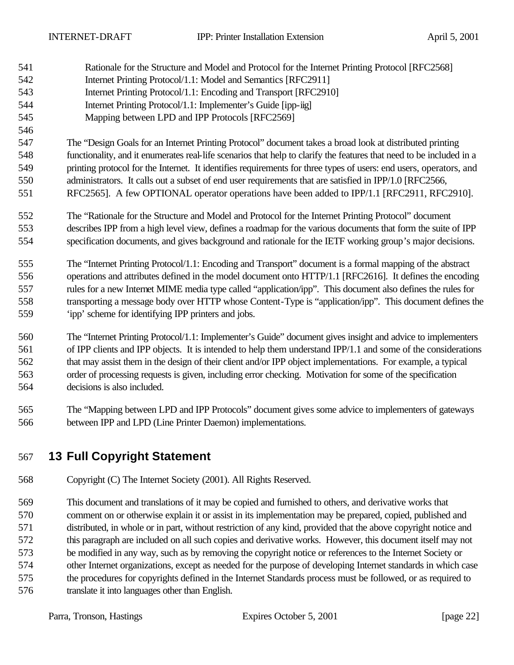- Rationale for the Structure and Model and Protocol for the Internet Printing Protocol [RFC2568] Internet Printing Protocol/1.1: Model and Semantics [RFC2911] Internet Printing Protocol/1.1: Encoding and Transport [RFC2910] Internet Printing Protocol/1.1: Implementer's Guide [ipp-iig] Mapping between LPD and IPP Protocols [RFC2569] The "Design Goals for an Internet Printing Protocol" document takes a broad look at distributed printing functionality, and it enumerates real-life scenarios that help to clarify the features that need to be included in a printing protocol for the Internet. It identifies requirements for three types of users: end users, operators, and administrators. It calls out a subset of end user requirements that are satisfied in IPP/1.0 [RFC2566, RFC2565]. A few OPTIONAL operator operations have been added to IPP/1.1 [RFC2911, RFC2910]. The "Rationale for the Structure and Model and Protocol for the Internet Printing Protocol" document describes IPP from a high level view, defines a roadmap for the various documents that form the suite of IPP specification documents, and gives background and rationale for the IETF working group's major decisions. The "Internet Printing Protocol/1.1: Encoding and Transport" document is a formal mapping of the abstract operations and attributes defined in the model document onto HTTP/1.1 [RFC2616]. It defines the encoding rules for a new Internet MIME media type called "application/ipp". This document also defines the rules for transporting a message body over HTTP whose Content-Type is "application/ipp". This document defines the 'ipp' scheme for identifying IPP printers and jobs. The "Internet Printing Protocol/1.1: Implementer's Guide" document gives insight and advice to implementers of IPP clients and IPP objects. It is intended to help them understand IPP/1.1 and some of the considerations that may assist them in the design of their client and/or IPP object implementations. For example, a typical order of processing requests is given, including error checking. Motivation for some of the specification decisions is also included.
- The "Mapping between LPD and IPP Protocols" document gives some advice to implementers of gateways between IPP and LPD (Line Printer Daemon) implementations.

## **13 Full Copyright Statement**

Copyright (C) The Internet Society (2001). All Rights Reserved.

 This document and translations of it may be copied and furnished to others, and derivative works that comment on or otherwise explain it or assist in its implementation may be prepared, copied, published and distributed, in whole or in part, without restriction of any kind, provided that the above copyright notice and this paragraph are included on all such copies and derivative works. However, this document itself may not be modified in any way, such as by removing the copyright notice or references to the Internet Society or other Internet organizations, except as needed for the purpose of developing Internet standards in which case the procedures for copyrights defined in the Internet Standards process must be followed, or as required to translate it into languages other than English.